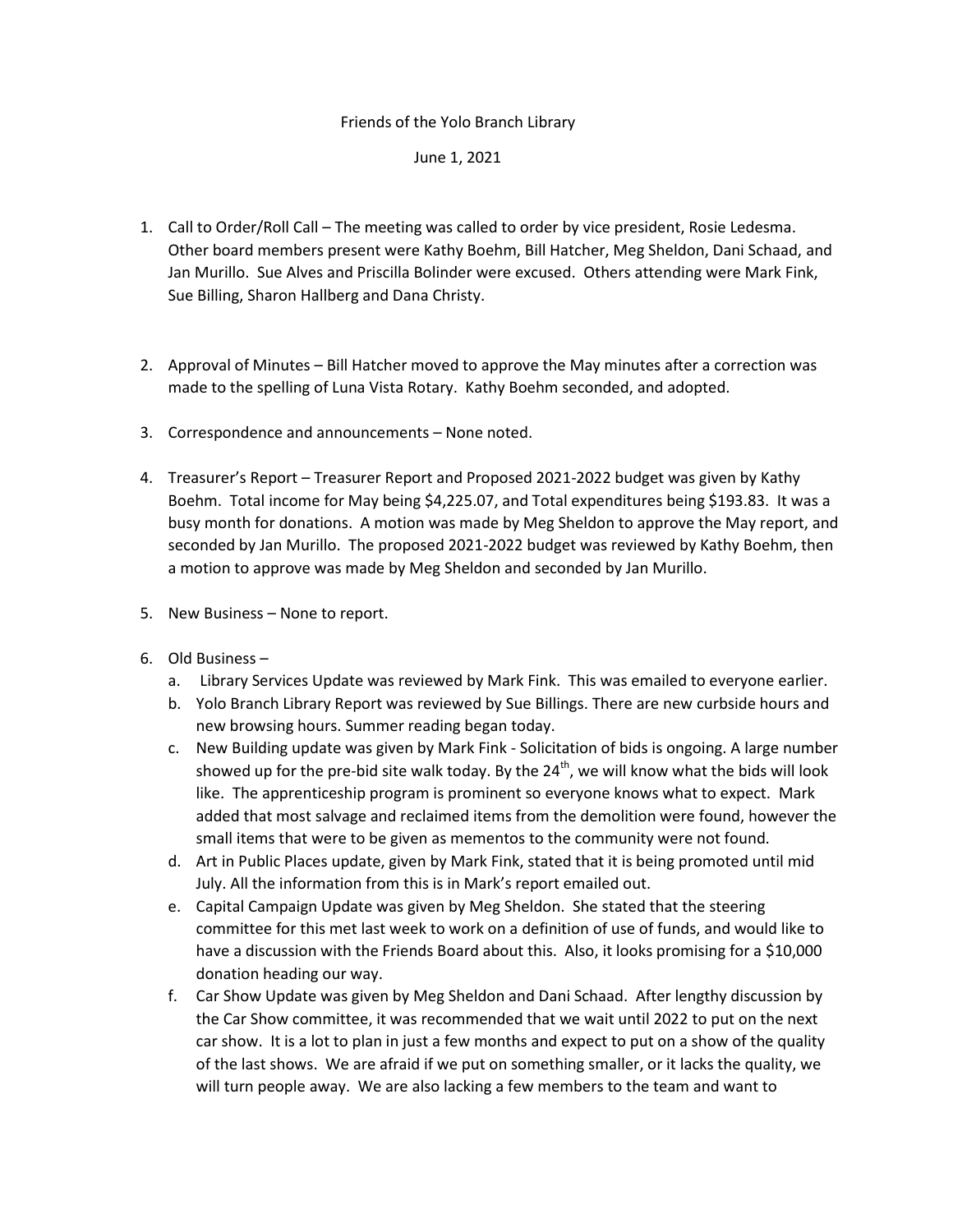## Friends of the Yolo Branch Library

## June 1, 2021

- 1. Call to Order/Roll Call The meeting was called to order by vice president, Rosie Ledesma. Other board members present were Kathy Boehm, Bill Hatcher, Meg Sheldon, Dani Schaad, and Jan Murillo. Sue Alves and Priscilla Bolinder were excused. Others attending were Mark Fink, Sue Billing, Sharon Hallberg and Dana Christy.
- 2. Approval of Minutes Bill Hatcher moved to approve the May minutes after a correction was made to the spelling of Luna Vista Rotary. Kathy Boehm seconded, and adopted.
- 3. Correspondence and announcements None noted.
- 4. Treasurer's Report Treasurer Report and Proposed 2021-2022 budget was given by Kathy Boehm. Total income for May being \$4,225.07, and Total expenditures being \$193.83. It was a busy month for donations. A motion was made by Meg Sheldon to approve the May report, and seconded by Jan Murillo. The proposed 2021-2022 budget was reviewed by Kathy Boehm, then a motion to approve was made by Meg Sheldon and seconded by Jan Murillo.
- 5. New Business None to report.
- 6. Old Business
	- a. Library Services Update was reviewed by Mark Fink. This was emailed to everyone earlier.
	- b. Yolo Branch Library Report was reviewed by Sue Billings. There are new curbside hours and new browsing hours. Summer reading began today.
	- c. New Building update was given by Mark Fink Solicitation of bids is ongoing. A large number showed up for the pre-bid site walk today. By the  $24<sup>th</sup>$ , we will know what the bids will look like. The apprenticeship program is prominent so everyone knows what to expect. Mark added that most salvage and reclaimed items from the demolition were found, however the small items that were to be given as mementos to the community were not found.
	- d. Art in Public Places update, given by Mark Fink, stated that it is being promoted until mid July. All the information from this is in Mark's report emailed out.
	- e. Capital Campaign Update was given by Meg Sheldon. She stated that the steering committee for this met last week to work on a definition of use of funds, and would like to have a discussion with the Friends Board about this. Also, it looks promising for a \$10,000 donation heading our way.
	- f. Car Show Update was given by Meg Sheldon and Dani Schaad. After lengthy discussion by the Car Show committee, it was recommended that we wait until 2022 to put on the next car show. It is a lot to plan in just a few months and expect to put on a show of the quality of the last shows. We are afraid if we put on something smaller, or it lacks the quality, we will turn people away. We are also lacking a few members to the team and want to